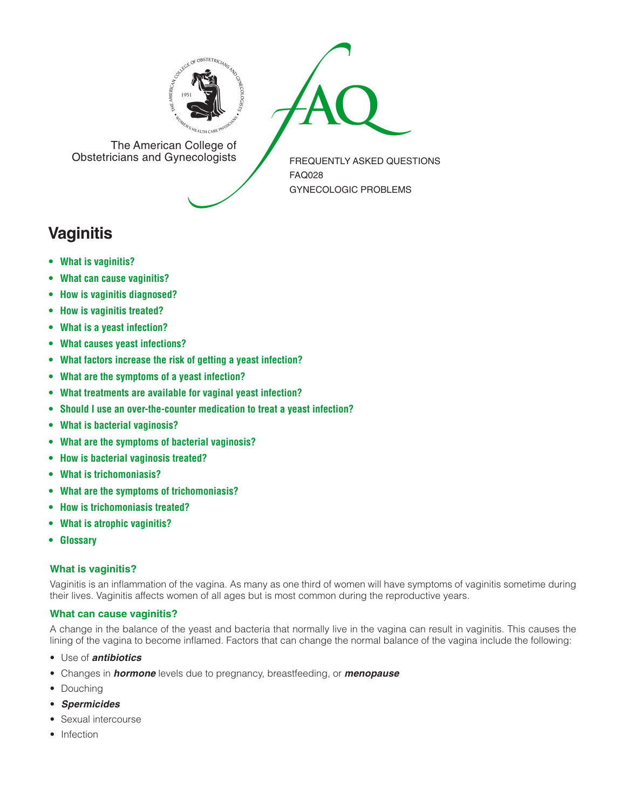



The American College of<br>Obstetricians and Gynecologists

FREQUENTLY ASKED QUESTIONS FAQ028 GYNECOLOGIC PROBLEMS

# **Vaginitis**

- **• What is [vaginitis?](#page-0-0)**
- **• What can cause [vaginitis?](#page-0-1)**
- **• How is vaginitis [diagnosed?](#page-1-0)**
- **• How is [vaginitis](#page-1-1) treated?**
- **• What is a yeast [infection?](#page-1-2)**
- **• What causes yeast [infections?](#page-1-3)**
- **• What factors increase the risk of getting a yeast [infection?](#page-1-4)**
- **• What are the [symptoms](#page-1-5) of a yeast infection?**
- **• What [treatments](#page-1-6) are available for vaginal yeast infection?**
- **• Should I use an [over-the-counter](#page-1-7) medication to treat a yeast infection?**
- **• What is bacterial [vaginosis?](#page-1-8)**
- **• What are the symptoms of bacterial [vaginosis?](#page-1-9)**
- **• How is bacterial [vaginosis](#page-1-10) treated?**
- **• What is [trichomoniasis?](#page-1-11)**
- **• What are the symptoms of [trichomoniasis?](#page-1-12)**
- **• How is [trichomoniasis](#page-1-13) treated?**
- **• What is atrophic [vaginitis?](#page-1-14)**
- **[• Glossary](#page-2-0)**

# <span id="page-0-0"></span>**What is vaginitis?**

Vaginitis is an inflammation of the vagina. As many as one third of women will have symptoms of vaginitis sometime during their lives. Vaginitis affects women of all ages but is most common during the reproductive years.

# <span id="page-0-1"></span>**What can cause vaginitis?**

A change in the balance of the yeast and bacteria that normally live in the vagina can result in vaginitis. This causes the lining of the vagina to become inflamed. Factors that can change the normal balance of the vagina include the following:

- Use of *antibiotics*
- Changes in *hormone* levels due to pregnancy, breastfeeding, or *menopause*
- Douching
- *Spermicides*
- Sexual intercourse
- Infection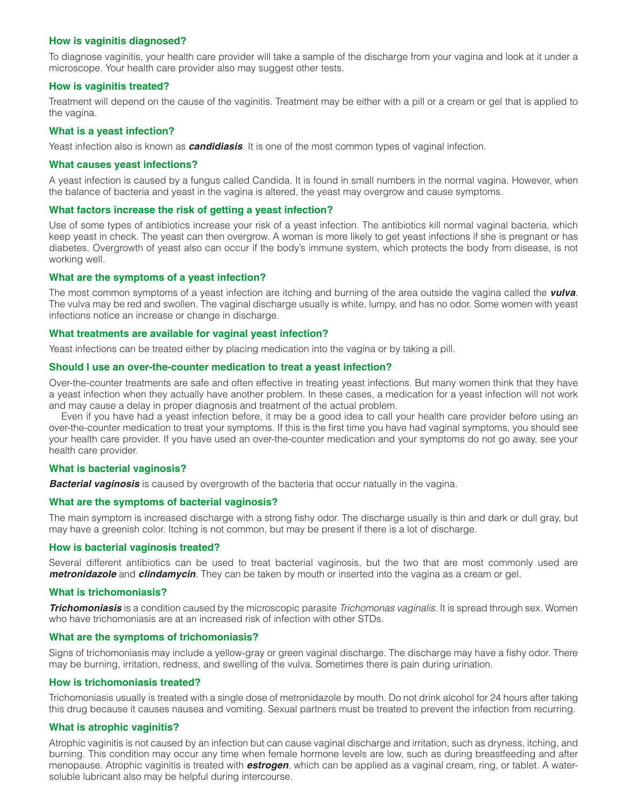# <span id="page-1-0"></span>**How is vaginitis diagnosed?**

To diagnose vaginitis, your health care provider will take a sample of the discharge from your vagina and look at it under a microscope. Your health care provider also may suggest other tests.

# <span id="page-1-1"></span>**How is vaginitis treated?**

Treatment will depend on the cause of the vaginitis. Treatment may be either with a pill or a cream or gel that is applied to the vagina.

# <span id="page-1-2"></span>**What is a yeast infection?**

Yeast infection also is known as *candidiasis*. It is one of the most common types of vaginal infection.

#### <span id="page-1-3"></span>**What causes yeast infections?**

A yeast infection is caused by a fungus called Candida. It is found in small numbers in the normal vagina. However, when the balance of bacteria and yeast in the vagina is altered, the yeast may overgrow and cause symptoms.

# <span id="page-1-4"></span>**What factors increase the risk of getting a yeast infection?**

Use of some types of antibiotics increase your risk of a yeast infection. The antibiotics kill normal vaginal bacteria, which keep yeast in check. The yeast can then overgrow. A woman is more likely to get yeast infections if she is pregnant or has diabetes. Overgrowth of yeast also can occur if the body's immune system, which protects the body from disease, is not working well.

# <span id="page-1-5"></span>**What are the symptoms of a yeast infection?**

The most common symptoms of a yeast infection are itching and burning of the area outside the vagina called the *vulva*. The vulva may be red and swollen. The vaginal discharge usually is white, lumpy, and has no odor. Some women with yeast infections notice an increase or change in discharge.

# <span id="page-1-6"></span>**What treatments are available for vaginal yeast infection?**

Yeast infections can be treated either by placing medication into the vagina or by taking a pill.

# <span id="page-1-7"></span>**Should I use an over-the-counter medication to treat a yeast infection?**

Over-the-counter treatments are safe and often effective in treating yeast infections. But many women think that they have a yeast infection when they actually have another problem. In these cases, a medication for a yeast infection will not work and may cause a delay in proper diagnosis and treatment of the actual problem.

Even if you have had a yeast infection before, it may be a good idea to call your health care provider before using an over-the-counter medication to treat your symptoms. If this is the first time you have had vaginal symptoms, you should see your health care provider. If you have used an over-the-counter medication and your symptoms do not go away, see your health care provider.

#### <span id="page-1-8"></span>**What is bacterial vaginosis?**

*Bacterial vaginosis* is caused by overgrowth of the bacteria that occur natually in the vagina.

# <span id="page-1-9"></span>**What are the symptoms of bacterial vaginosis?**

The main symptom is increased discharge with a strong fishy odor. The discharge usually is thin and dark or dull gray, but may have a greenish color. Itching is not common, but may be present if there is a lot of discharge.

#### <span id="page-1-10"></span>**How is bacterial vaginosis treated?**

Several different antibiotics can be used to treat bacterial vaginosis, but the two that are most commonly used are *metronidazole* and *clindamycin*. They can be taken by mouth or inserted into the vagina as a cream or gel.

#### <span id="page-1-11"></span>**What is trichomoniasis?**

*Trichomoniasis* is a condition caused by the microscopic parasite *Trichomonas vaginalis.* It is spread through sex. Women who have trichomoniasis are at an increased risk of infection with other STDs.

#### <span id="page-1-12"></span>**What are the symptoms of trichomoniasis?**

Signs of trichomoniasis may include a yellow-gray or green vaginal discharge. The discharge may have a fishy odor. There may be burning, irritation, redness, and swelling of the vulva. Sometimes there is pain during urination.

#### <span id="page-1-13"></span>**How is trichomoniasis treated?**

Trichomoniasis usually is treated with a single dose of metronidazole by mouth. Do not drink alcohol for 24 hours after taking this drug because it causes nausea and vomiting. Sexual partners must be treated to prevent the infection from recurring.

#### <span id="page-1-14"></span>**What is atrophic vaginitis?**

Atrophic vaginitis is not caused by an infection but can cause vaginal discharge and irritation, such as dryness, itching, and burning. This condition may occur any time when female hormone levels are low, such as during breastfeeding and after menopause. Atrophic vaginitis is treated with *estrogen*, which can be applied as a vaginal cream, ring, or tablet. A watersoluble lubricant also may be helpful during intercourse.